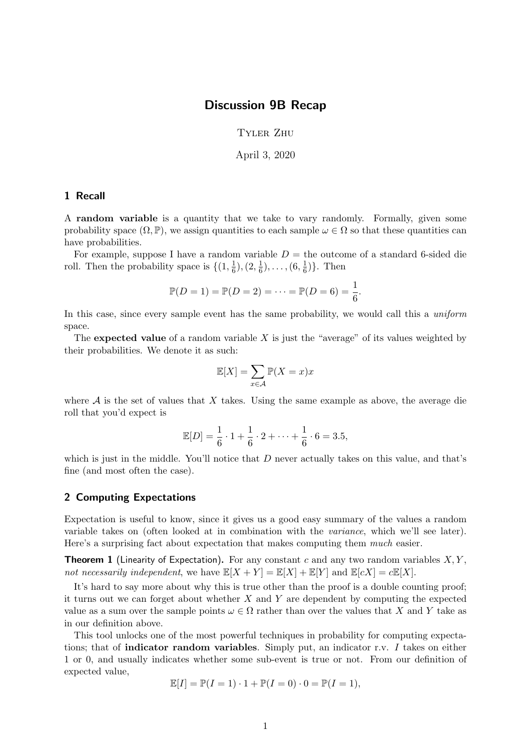## Discussion 9B Recap

Tyler Zhu

April 3, 2020

## 1 Recall

A random variable is a quantity that we take to vary randomly. Formally, given some probability space  $(\Omega, \mathbb{P})$ , we assign quantities to each sample  $\omega \in \Omega$  so that these quantities can have probabilities.

For example, suppose I have a random variable  $D =$  the outcome of a standard 6-sided die roll. Then the probability space is  $\{(1, \frac{1}{6})\}$  $(\frac{1}{6}), (2, \frac{1}{6})$  $(\frac{1}{6}), \ldots, (6, \frac{1}{6})$  $\frac{1}{6}$ }. Then

$$
\mathbb{P}(D = 1) = \mathbb{P}(D = 2) = \dots = \mathbb{P}(D = 6) = \frac{1}{6}.
$$

In this case, since every sample event has the same probability, we would call this a uniform space.

The expected value of a random variable  $X$  is just the "average" of its values weighted by their probabilities. We denote it as such:

$$
\mathbb{E}[X] = \sum_{x \in \mathcal{A}} \mathbb{P}(X = x)x
$$

where  $A$  is the set of values that  $X$  takes. Using the same example as above, the average die roll that you'd expect is

$$
\mathbb{E}[D] = \frac{1}{6} \cdot 1 + \frac{1}{6} \cdot 2 + \dots + \frac{1}{6} \cdot 6 = 3.5,
$$

which is just in the middle. You'll notice that  $D$  never actually takes on this value, and that's fine (and most often the case).

## 2 Computing Expectations

Expectation is useful to know, since it gives us a good easy summary of the values a random variable takes on (often looked at in combination with the variance, which we'll see later). Here's a surprising fact about expectation that makes computing them much easier.

**Theorem 1** (Linearity of Expectation). For any constant c and any two random variables  $X, Y$ , not necessarily independent, we have  $\mathbb{E}[X+Y] = \mathbb{E}[X] + \mathbb{E}[Y]$  and  $\mathbb{E}[cX] = c\mathbb{E}[X]$ .

It's hard to say more about why this is true other than the proof is a double counting proof; it turns out we can forget about whether  $X$  and  $Y$  are dependent by computing the expected value as a sum over the sample points  $\omega \in \Omega$  rather than over the values that X and Y take as in our definition above.

This tool unlocks one of the most powerful techniques in probability for computing expectations; that of **indicator random variables**. Simply put, an indicator r.v. I takes on either 1 or 0, and usually indicates whether some sub-event is true or not. From our definition of expected value,

$$
\mathbb{E}[I] = \mathbb{P}(I=1) \cdot 1 + \mathbb{P}(I=0) \cdot 0 = \mathbb{P}(I=1),
$$